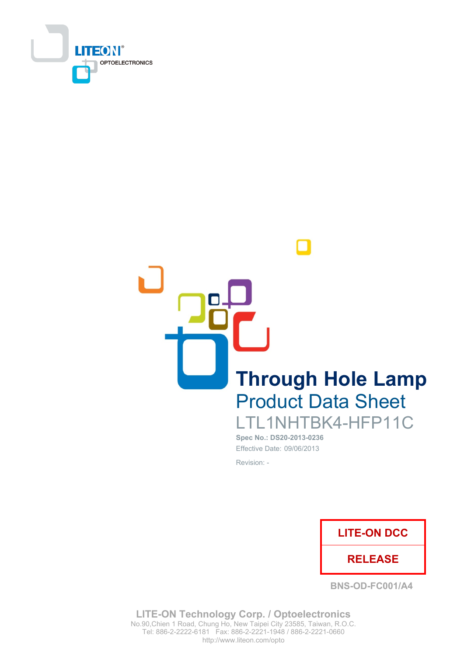

**Through Hole Lamp Product Data Sheet** LTL1NHTBK4-HFP11C

> Spec No.: DS20-2013-0236 Effective Date: 09/06/2013 Revision: -



**BNS-OD-FC001/A4** 

**LITE-ON Technology Corp. / Optoelectronics** No.90, Chien 1 Road, Chung Ho, New Taipei City 23585, Taiwan, R.O.C. Tel: 886-2-2222-6181 Fax: 886-2-2221-1948 / 886-2-2221-0660 http://www.liteon.com/opto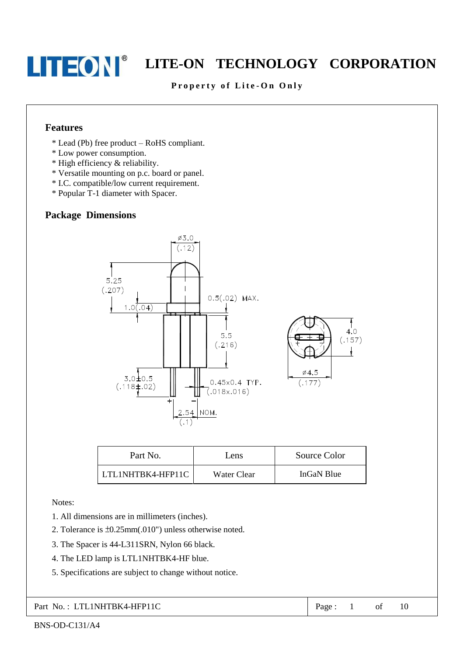### Property of Lite-On Only

#### **Features**

- \* Lead (Pb) free product RoHS compliant.
- \* Low power consumption.
- \* High efficiency & reliability.
- \* Versatile mounting on p.c. board or panel.
- \* I.C. compatible/low current requirement.
- \* Popular T-1 diameter with Spacer.

## **Package Dimensions**



| Part No.          | Lens        | Source Color |
|-------------------|-------------|--------------|
| LTL1NHTBK4-HFP11C | Water Clear | InGaN Blue   |

Notes:

- 1. All dimensions are in millimeters (inches).
- 2. Tolerance is  $\pm 0.25$ mm(.010") unless otherwise noted.
- 3. The Spacer is 44-L311SRN, Nylon 66 black.
- 4. The LED lamp is LTL1NHTBK4-HF blue.
- 5. Specifications are subject to change without notice.

Part No.: LTL1NHTBK4-HFP11C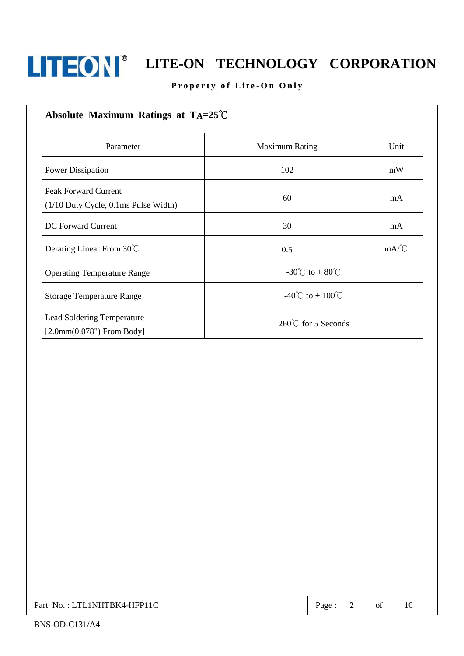

# Property of Lite-On Only

| Absolute Maximum Ratings at $TA=25^{\circ}C$                             |                       |      |
|--------------------------------------------------------------------------|-----------------------|------|
| Parameter                                                                | <b>Maximum Rating</b> | Unit |
| Power Dissipation                                                        | 102                   | mW   |
| <b>Peak Forward Current</b><br>$(1/10$ Duty Cycle, $0.1$ ms Pulse Width) | 60                    | mA   |
| DC Forward Current                                                       | 30                    | mA   |
| Derating Linear From 30°C                                                | 0.5                   | mA/C |
| <b>Operating Temperature Range</b>                                       | -30°C to + 80°C       |      |
| <b>Storage Temperature Range</b>                                         | -40°C to + 100°C      |      |
| Lead Soldering Temperature<br>$[2.0mm(0.078")$ From Body]                | 260°C for 5 Seconds   |      |

| Part No.: LTL1NHTBK4-HFP11C | Page |  |  |  |
|-----------------------------|------|--|--|--|
|-----------------------------|------|--|--|--|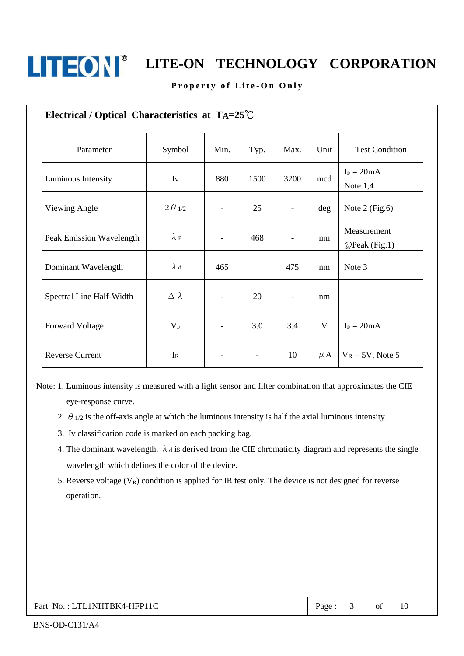

#### Property of Lite-On Only

| Electrical / Optical Characteristics at TA=25°C |                  |                          |                          |      |         |                              |
|-------------------------------------------------|------------------|--------------------------|--------------------------|------|---------|------------------------------|
| Parameter                                       | Symbol           | Min.                     | Typ.                     | Max. | Unit    | <b>Test Condition</b>        |
| Luminous Intensity                              | Iv               | 880                      | 1500                     | 3200 | mcd     | $I_F = 20mA$<br>Note $1,4$   |
| Viewing Angle                                   | $2\theta_{1/2}$  | $\overline{\phantom{0}}$ | 25                       |      | deg     | Note $2$ (Fig.6)             |
| Peak Emission Wavelength                        | $\lambda$ P      | $\overline{\phantom{0}}$ | 468                      |      | nm      | Measurement<br>@Peak (Fig.1) |
| Dominant Wavelength                             | $\lambda$ d      | 465                      |                          | 475  | nm      | Note 3                       |
| Spectral Line Half-Width                        | $\Delta \lambda$ | $\overline{\phantom{0}}$ | 20                       |      | nm      |                              |
| <b>Forward Voltage</b>                          | $V_{F}$          | $\overline{\phantom{0}}$ | 3.0                      | 3.4  | V       | $I_F = 20mA$                 |
| <b>Reverse Current</b>                          | IR               | -                        | $\overline{\phantom{a}}$ | 10   | $\mu$ A | $V_R = 5V$ , Note 5          |

Note: 1. Luminous intensity is measured with a light sensor and filter combination that approximates the CIE eye-response curve.

- 2.  $\theta$  1/2 is the off-axis angle at which the luminous intensity is half the axial luminous intensity.
- 3. Iv classification code is marked on each packing bag.
- 4. The dominant wavelength,  $\lambda_d$  is derived from the CIE chromaticity diagram and represents the single wavelength which defines the color of the device.
- 5. Reverse voltage  $(V_R)$  condition is applied for IR test only. The device is not designed for reverse operation.

#### Part No.: LTL1NHTBK4-HFP11C

Page:  $3<sup>7</sup>$  $\sigma$ f 10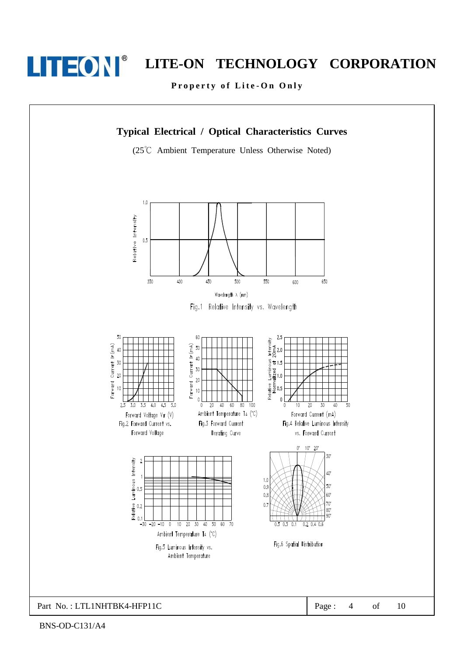

# LITE-ON TECHNOLOGY CORPORATION

Property of Lite-On Only

## **Typical Electrical / Optical Characteristics Curves**

(25°C Ambient Temperature Unless Otherwise Noted)

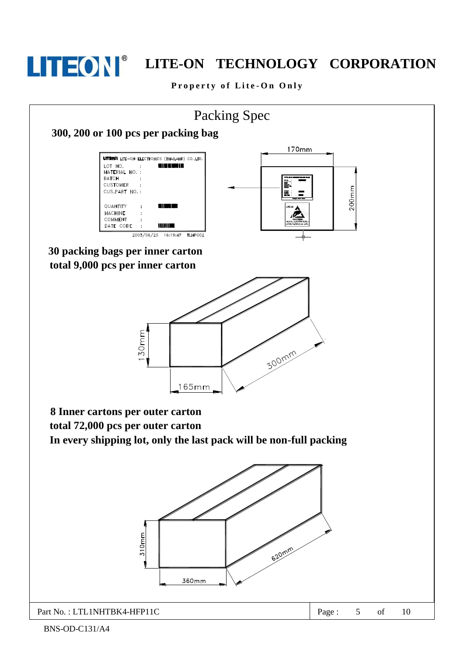

# LITE-ON TECHNOLOGY CORPORATION

Property of Lite-On Only

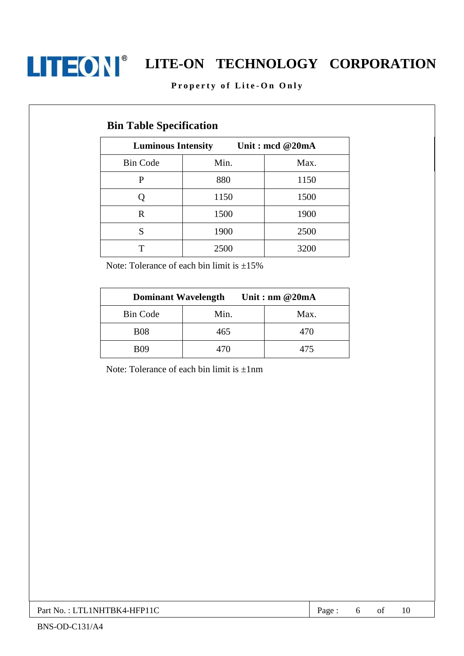

### Property of Lite-On Only

# **Bin Table Specification**

| <b>Luminous Intensity</b> | Unit: mcd @20mA |      |
|---------------------------|-----------------|------|
| <b>Bin Code</b>           | Min.            | Max. |
| P                         | 880             | 1150 |
|                           | 1150            | 1500 |
| R                         | 1500            | 1900 |
| S                         | 1900            | 2500 |
| т                         | 2500            | 3200 |

Note: Tolerance of each bin limit is  $\pm 15\%$ 

| <b>Dominant Wavelength</b> |      | Unit: nm $@20mA$ |  |
|----------------------------|------|------------------|--|
| <b>Bin Code</b>            | Min. | Max.             |  |
| <b>B08</b>                 | 465  | 470              |  |
| <b>RO9</b>                 | 470  | 475              |  |

Note: Tolerance of each bin limit is  $\pm 1$ nm

Part No.: LTL1NHTBK4-HFP11C

10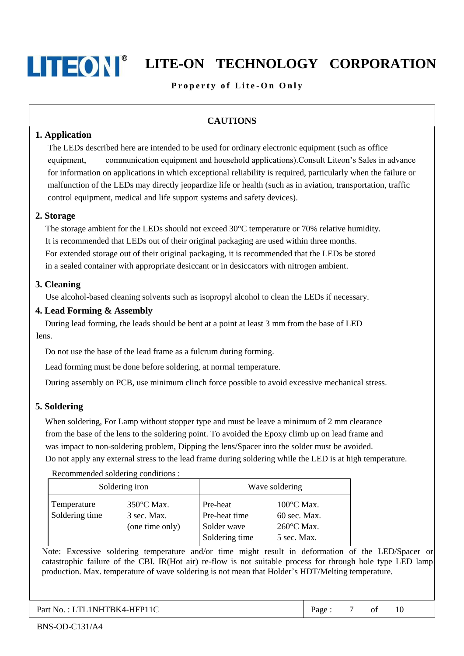# LITEON TECHNOLOGY CORPORATION

## Property of Lite-On Only

# **CAUTIONS**

### 1. Application

The LEDs described here are intended to be used for ordinary electronic equipment (such as office communication equipment and household applications). Consult Liteon's Sales in advance equipment, for information on applications in which exceptional reliability is required, particularly when the failure or malfunction of the LEDs may directly jeopardize life or health (such as in aviation, transportation, traffic control equipment, medical and life support systems and safety devices).

#### 2. Storage

The storage ambient for the LEDs should not exceed 30°C temperature or 70% relative humidity. It is recommended that LEDs out of their original packaging are used within three months. For extended storage out of their original packaging, it is recommended that the LEDs be stored in a sealed container with appropriate desiccant or in desiccators with nitrogen ambient.

#### 3. Cleaning

Use alcohol-based cleaning solvents such as isopropyl alcohol to clean the LEDs if necessary.

#### 4. Lead Forming & Assembly

During lead forming, the leads should be bent at a point at least 3 mm from the base of LED lens.

Do not use the base of the lead frame as a fulcrum during forming.

Lead forming must be done before soldering, at normal temperature.

During assembly on PCB, use minimum clinch force possible to avoid excessive mechanical stress.

#### 5. Soldering

When soldering, For Lamp without stopper type and must be leave a minimum of 2 mm clearance from the base of the lens to the soldering point. To avoided the Epoxy climb up on lead frame and was impact to non-soldering problem, Dipping the lens/Spacer into the solder must be avoided. Do not apply any external stress to the lead frame during soldering while the LED is at high temperature.

#### Recommended soldering conditions :

| Soldering iron                |                                              | Wave soldering                                             |                                                                             |  |
|-------------------------------|----------------------------------------------|------------------------------------------------------------|-----------------------------------------------------------------------------|--|
| Temperature<br>Soldering time | 350°C Max.<br>3 sec. Max.<br>(one time only) | Pre-heat<br>Pre-heat time<br>Solder wave<br>Soldering time | $100^{\circ}$ C Max.<br>60 sec. Max.<br>$260^{\circ}$ C Max.<br>5 sec. Max. |  |

Note: Excessive soldering temperature and/or time might result in deformation of the LED/Spacer or catastrophic failure of the CBI. IR(Hot air) re-flow is not suitable process for through hole type LED lamp production. Max. temperature of wave soldering is not mean that Holder's HDT/Melting temperature.

Part No.: LTL1NHTBK4-HFP11C

 $\overline{7}$ Page: of 10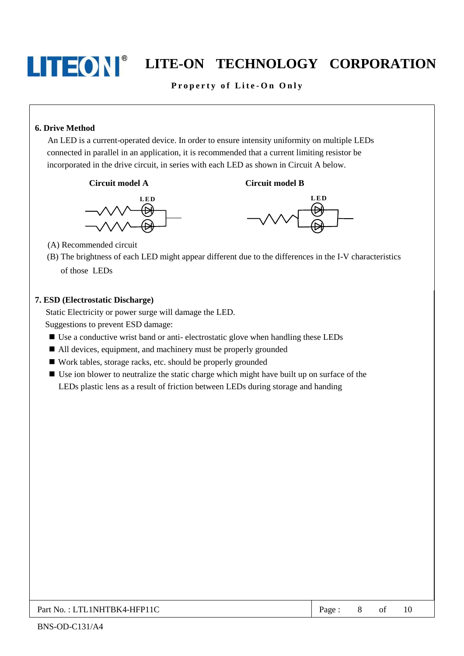

### Property of Lite-On Only

### 6. Drive Method

An LED is a current-operated device. In order to ensure intensity uniformity on multiple LEDs connected in parallel in an application, it is recommended that a current limiting resistor be incorporated in the drive circuit, in series with each LED as shown in Circuit A below.







**Circuit model B** 

(A) Recommended circuit

(B) The brightness of each LED might appear different due to the differences in the I-V characteristics

of those LEDs

#### 7. ESD (Electrostatic Discharge)

Static Electricity or power surge will damage the LED.

Suggestions to prevent ESD damage:

- Use a conductive wrist band or anti-electrostatic glove when handling these LEDs
- All devices, equipment, and machinery must be properly grounded
- Work tables, storage racks, etc. should be properly grounded
- Use ion blower to neutralize the static charge which might have built up on surface of the LEDs plastic lens as a result of friction between LEDs during storage and handing

# Part No.: LTL1NHTBK4-HFP11C

8 10 Page: of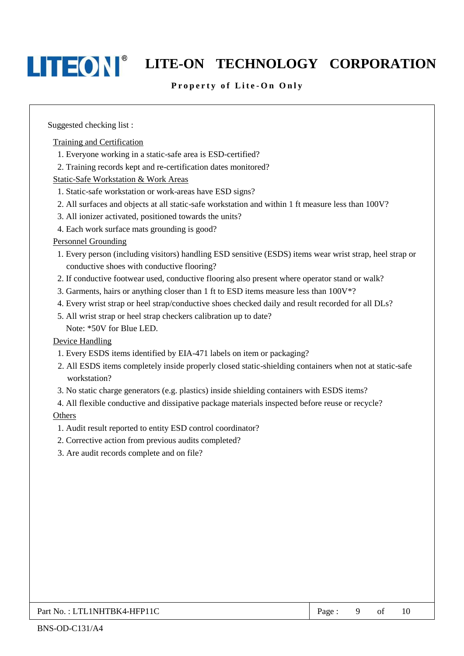# LITEON TECHNOLOGY CORPORATION

### Property of Lite-On Only

Suggested checking list:

Training and Certification

- 1. Everyone working in a static-safe area is ESD-certified?
- 2. Training records kept and re-certification dates monitored?

Static-Safe Workstation & Work Areas

- 1. Static-safe workstation or work-areas have ESD signs?
- 2. All surfaces and objects at all static-safe workstation and within 1 ft measure less than 100V?
- 3. All ionizer activated, positioned towards the units?
- 4. Each work surface mats grounding is good?

#### **Personnel Grounding**

- 1. Every person (including visitors) handling ESD sensitive (ESDS) items wear wrist strap, heel strap or conductive shoes with conductive flooring?
- 2. If conductive footwear used, conductive flooring also present where operator stand or walk?
- 3. Garments, hairs or anything closer than 1 ft to ESD items measure less than  $100V^*$ ?
- 4. Every wrist strap or heel strap/conductive shoes checked daily and result recorded for all DLs?
- 5. All wrist strap or heel strap checkers calibration up to date? Note: \*50V for Blue LED.

#### Device Handling

- 1. Every ESDS items identified by EIA-471 labels on item or packaging?
- 2. All ESDS items completely inside properly closed static-shielding containers when not at static-safe workstation?
- 3. No static charge generators (e.g. plastics) inside shielding containers with ESDS items?
- 4. All flexible conductive and dissipative package materials inspected before reuse or recycle?

#### Others

- 1. Audit result reported to entity ESD control coordinator?
- 2. Corrective action from previous audits completed?
- 3. Are audit records complete and on file?

Page: 9 of

 $10$